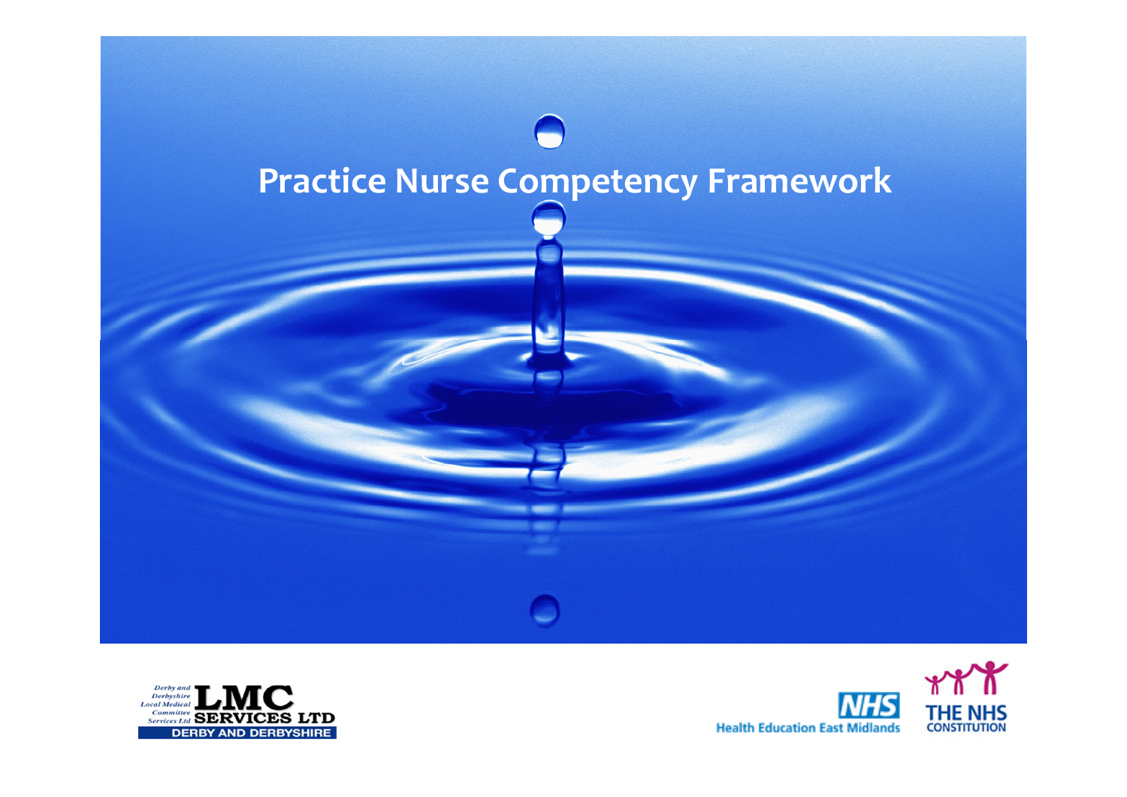



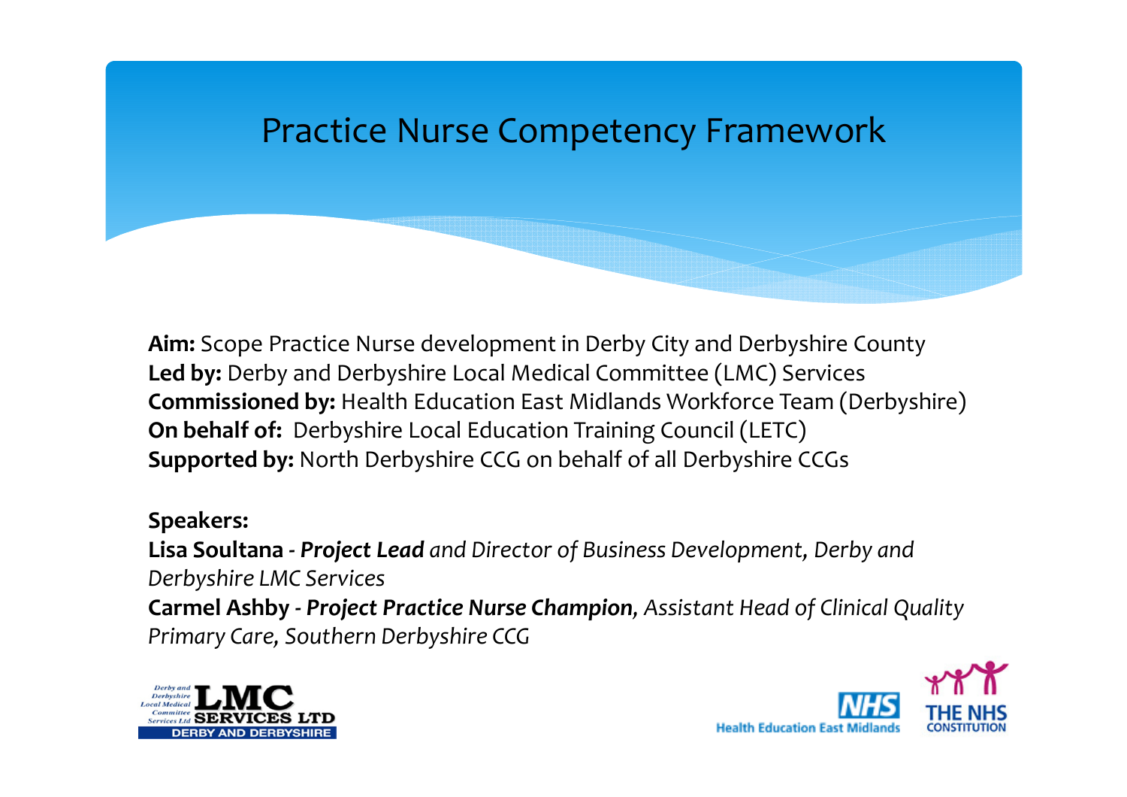#### Practice Nurse Competency Framework

Aim: Scope Practice Nurse development in Derby City and Derbyshire CountyLed by: Derby and Derbyshire Local Medical Committee (LMC) Services Commissioned by: Health Education East Midlands Workforce Team (Derbyshire) On behalf of: Derbyshire Local Education Training Council (LETC)Supported by: North Derbyshire CCG on behalf of all Derbyshire CCGs

#### Speakers:

Lisa Soultana - Project Lead and Director of Business Development, Derby and Derbyshire LMC Services**Carmel Ashby - Project Practice Nurse Champion,** Assistant Head of Clinical Quality Primary Care, Southern Derbyshire CCG



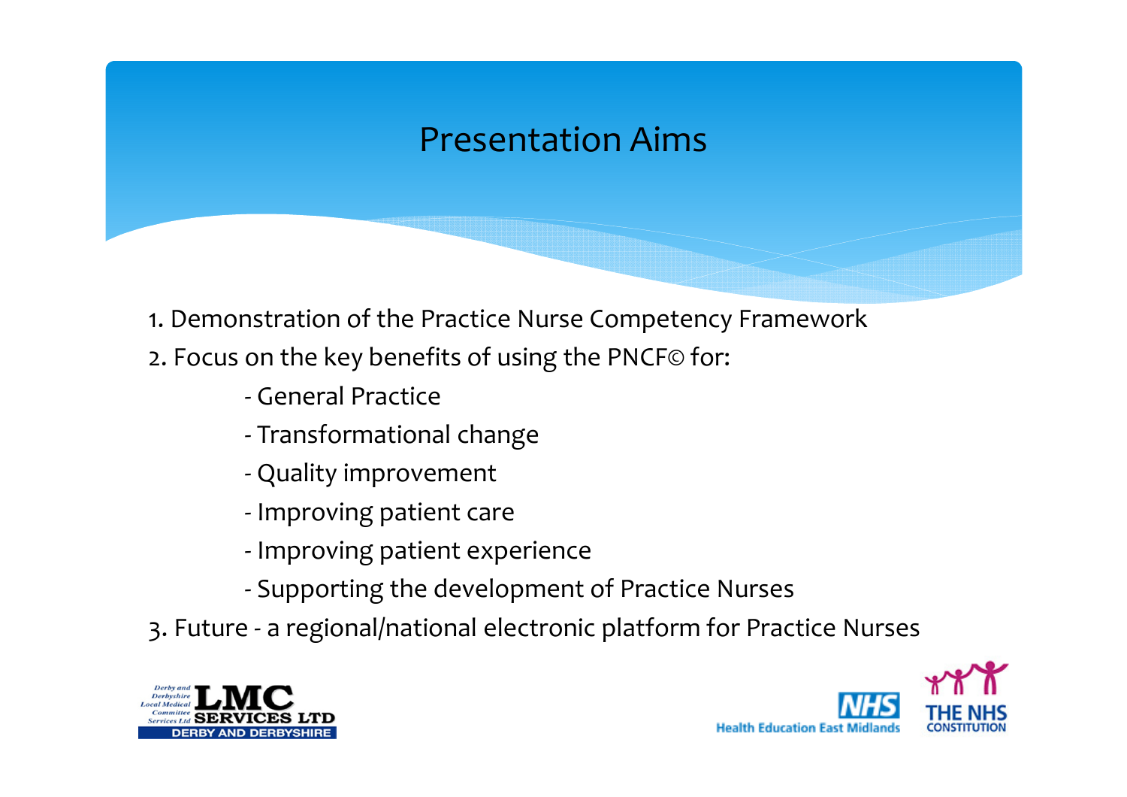#### Presentation Aims

- 1. Demonstration of the Practice Nurse Competency Framework
- 2. Focus on the key benefits of using the PNCF© for:
	- -General Practice
	- -Transformational change
	- -Quality improvement
	- Improving patient care
	- Improving patient experience
	- -Supporting the development of Practice Nurses
- 3. Future a regional/national electronic platform for Practice Nurses



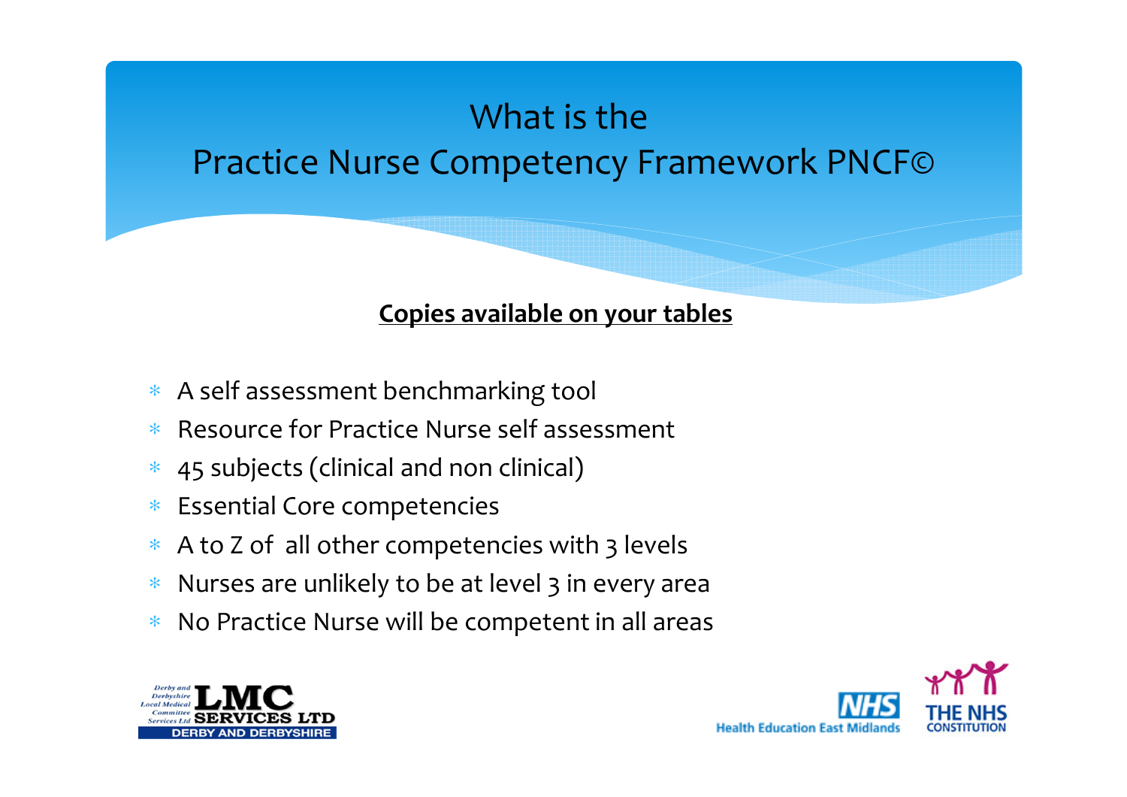#### What is thePractice Nurse Competency Framework PNCF©

#### Copies available on your tables

- ∗ A self assessment benchmarking tool
- ∗Resource for Practice Nurse self assessment
- ∗45 subjects (clinical and non clinical)
- ∗Essential Core competencies
- ∗A to Z of all other competencies with 3 levels
- ∗Nurses are unlikely to be at level 3 in every area
- ∗No Practice Nurse will be competent in all areas



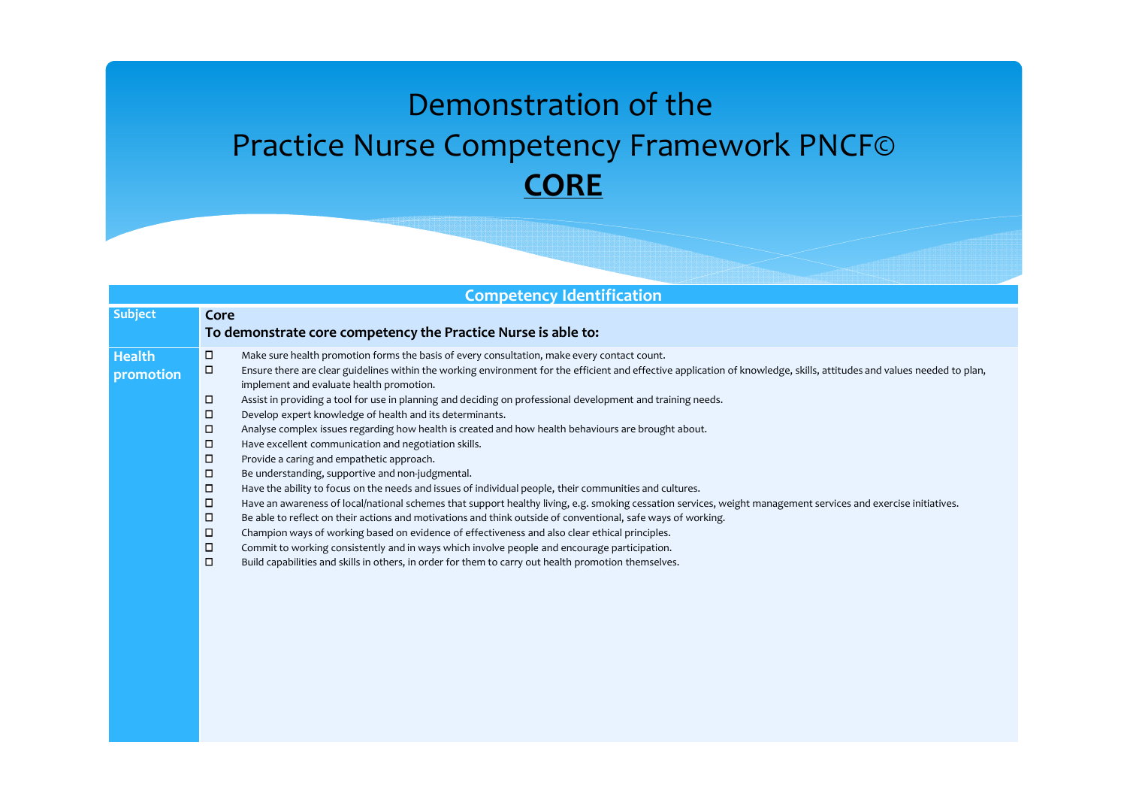#### Demonstration of the Practice Nurse Competency Framework PNCF©**CORE**

| <b>Competency Identification</b> |                                                                                                                                                                                   |  |  |  |
|----------------------------------|-----------------------------------------------------------------------------------------------------------------------------------------------------------------------------------|--|--|--|
| <b>Subject</b>                   | Core<br>To demonstrate core competency the Practice Nurse is able to:                                                                                                             |  |  |  |
|                                  |                                                                                                                                                                                   |  |  |  |
| <b>Health</b>                    | □<br>Make sure health promotion forms the basis of every consultation, make every contact count.                                                                                  |  |  |  |
| promotion                        | $\Box$<br>Ensure there are clear guidelines within the working environment for the efficient and effective application of knowledge, skills, attitudes and values needed to plan, |  |  |  |
|                                  | implement and evaluate health promotion.                                                                                                                                          |  |  |  |
|                                  | п<br>Assist in providing a tool for use in planning and deciding on professional development and training needs.                                                                  |  |  |  |
|                                  | $\Box$<br>Develop expert knowledge of health and its determinants.                                                                                                                |  |  |  |
|                                  | ο<br>Analyse complex issues regarding how health is created and how health behaviours are brought about.                                                                          |  |  |  |
|                                  | ο<br>Have excellent communication and negotiation skills.                                                                                                                         |  |  |  |
|                                  | $\Box$<br>Provide a caring and empathetic approach.                                                                                                                               |  |  |  |
|                                  | $\Box$<br>Be understanding, supportive and non-judgmental.                                                                                                                        |  |  |  |
|                                  | $\Box$<br>Have the ability to focus on the needs and issues of individual people, their communities and cultures.                                                                 |  |  |  |
|                                  | ο<br>Have an awareness of local/national schemes that support healthy living, e.g. smoking cessation services, weight management services and exercise initiatives.               |  |  |  |
|                                  | $\Box$<br>Be able to reflect on their actions and motivations and think outside of conventional, safe ways of working.                                                            |  |  |  |
|                                  | о<br>Champion ways of working based on evidence of effectiveness and also clear ethical principles.                                                                               |  |  |  |
|                                  | ο<br>Commit to working consistently and in ways which involve people and encourage participation.                                                                                 |  |  |  |
|                                  | ο<br>Build capabilities and skills in others, in order for them to carry out health promotion themselves.                                                                         |  |  |  |
|                                  |                                                                                                                                                                                   |  |  |  |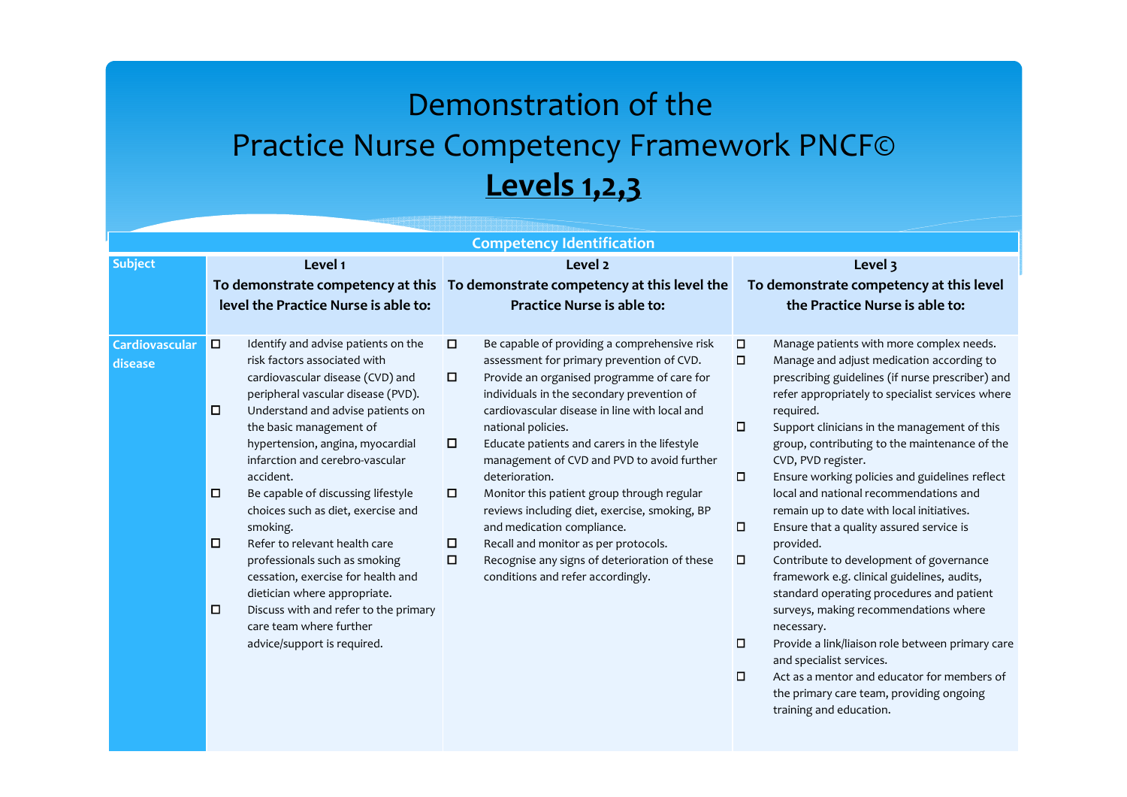#### Demonstration of the Practice Nurse Competency Framework PNCF©**Levels 1,2,3**

| <b>Competency Identification</b> |                                                                                                                                                                                                                                                                                                                                                                                                                                                                                                                                                                                                                                                                                   |                                                                                                                                                                                                                                                                                                                                                                                                                                                                                                                                                                                                                                                                                                |                                                                                                                                                                                                                                                                                                                                                                                                                                                                                                                                                                                                                                                                                                                                                                                                                                                                                                                                                                                                                         |  |
|----------------------------------|-----------------------------------------------------------------------------------------------------------------------------------------------------------------------------------------------------------------------------------------------------------------------------------------------------------------------------------------------------------------------------------------------------------------------------------------------------------------------------------------------------------------------------------------------------------------------------------------------------------------------------------------------------------------------------------|------------------------------------------------------------------------------------------------------------------------------------------------------------------------------------------------------------------------------------------------------------------------------------------------------------------------------------------------------------------------------------------------------------------------------------------------------------------------------------------------------------------------------------------------------------------------------------------------------------------------------------------------------------------------------------------------|-------------------------------------------------------------------------------------------------------------------------------------------------------------------------------------------------------------------------------------------------------------------------------------------------------------------------------------------------------------------------------------------------------------------------------------------------------------------------------------------------------------------------------------------------------------------------------------------------------------------------------------------------------------------------------------------------------------------------------------------------------------------------------------------------------------------------------------------------------------------------------------------------------------------------------------------------------------------------------------------------------------------------|--|
| <b>Subject</b>                   | Level 1                                                                                                                                                                                                                                                                                                                                                                                                                                                                                                                                                                                                                                                                           | Level <sub>2</sub>                                                                                                                                                                                                                                                                                                                                                                                                                                                                                                                                                                                                                                                                             | Level 3                                                                                                                                                                                                                                                                                                                                                                                                                                                                                                                                                                                                                                                                                                                                                                                                                                                                                                                                                                                                                 |  |
|                                  |                                                                                                                                                                                                                                                                                                                                                                                                                                                                                                                                                                                                                                                                                   | To demonstrate competency at this To demonstrate competency at this level the                                                                                                                                                                                                                                                                                                                                                                                                                                                                                                                                                                                                                  | To demonstrate competency at this level                                                                                                                                                                                                                                                                                                                                                                                                                                                                                                                                                                                                                                                                                                                                                                                                                                                                                                                                                                                 |  |
|                                  | level the Practice Nurse is able to:                                                                                                                                                                                                                                                                                                                                                                                                                                                                                                                                                                                                                                              | <b>Practice Nurse is able to:</b>                                                                                                                                                                                                                                                                                                                                                                                                                                                                                                                                                                                                                                                              | the Practice Nurse is able to:                                                                                                                                                                                                                                                                                                                                                                                                                                                                                                                                                                                                                                                                                                                                                                                                                                                                                                                                                                                          |  |
| Cardiovascular<br>disease        | $\Box$<br>Identify and advise patients on the<br>risk factors associated with<br>cardiovascular disease (CVD) and<br>peripheral vascular disease (PVD).<br>$\Box$<br>Understand and advise patients on<br>the basic management of<br>hypertension, angina, myocardial<br>infarction and cerebro-vascular<br>accident.<br>$\Box$<br>Be capable of discussing lifestyle<br>choices such as diet, exercise and<br>smoking.<br>Refer to relevant health care<br>o<br>professionals such as smoking<br>cessation, exercise for health and<br>dietician where appropriate.<br>$\Box$<br>Discuss with and refer to the primary<br>care team where further<br>advice/support is required. | $\Box$<br>Be capable of providing a comprehensive risk<br>assessment for primary prevention of CVD.<br>$\Box$<br>Provide an organised programme of care for<br>individuals in the secondary prevention of<br>cardiovascular disease in line with local and<br>national policies.<br>$\Box$<br>Educate patients and carers in the lifestyle<br>management of CVD and PVD to avoid further<br>deterioration.<br>$\Box$<br>Monitor this patient group through regular<br>reviews including diet, exercise, smoking, BP<br>and medication compliance.<br>о<br>Recall and monitor as per protocols.<br>$\Box$<br>Recognise any signs of deterioration of these<br>conditions and refer accordingly. | $\Box$<br>Manage patients with more complex needs.<br>$\Box$<br>Manage and adjust medication according to<br>prescribing guidelines (if nurse prescriber) and<br>refer appropriately to specialist services where<br>required.<br>$\Box$<br>Support clinicians in the management of this<br>group, contributing to the maintenance of the<br>CVD, PVD register.<br>$\Box$<br>Ensure working policies and guidelines reflect<br>local and national recommendations and<br>remain up to date with local initiatives.<br>$\Box$<br>Ensure that a quality assured service is<br>provided.<br>$\Box$<br>Contribute to development of governance<br>framework e.g. clinical guidelines, audits,<br>standard operating procedures and patient<br>surveys, making recommendations where<br>necessary.<br>$\Box$<br>Provide a link/liaison role between primary care<br>and specialist services.<br>$\Box$<br>Act as a mentor and educator for members of<br>the primary care team, providing ongoing<br>training and education. |  |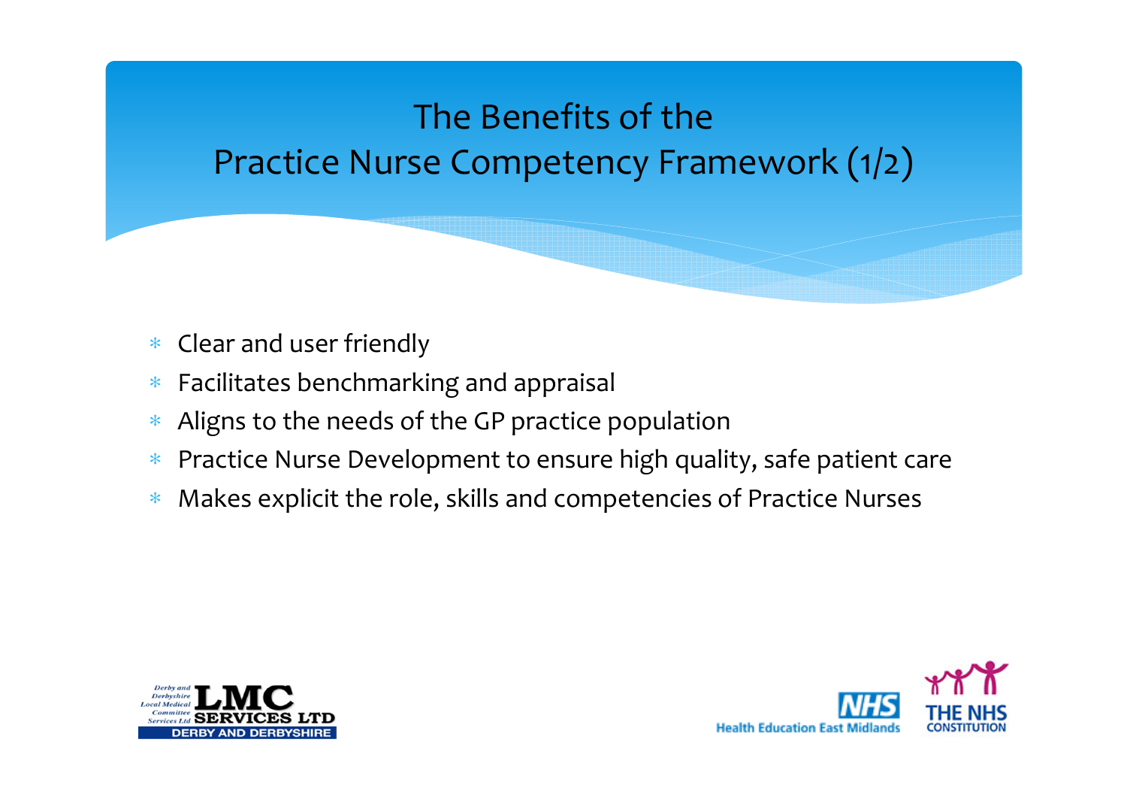### The Benefits of the Practice Nurse Competency Framework (1/2)

- ∗Clear and user friendly
- ∗Facilitates benchmarking and appraisal
- ∗Aligns to the needs of the GP practice population
- ∗Practice Nurse Development to ensure high quality, safe patient care
- ∗Makes explicit the role, skills and competencies of Practice Nurses



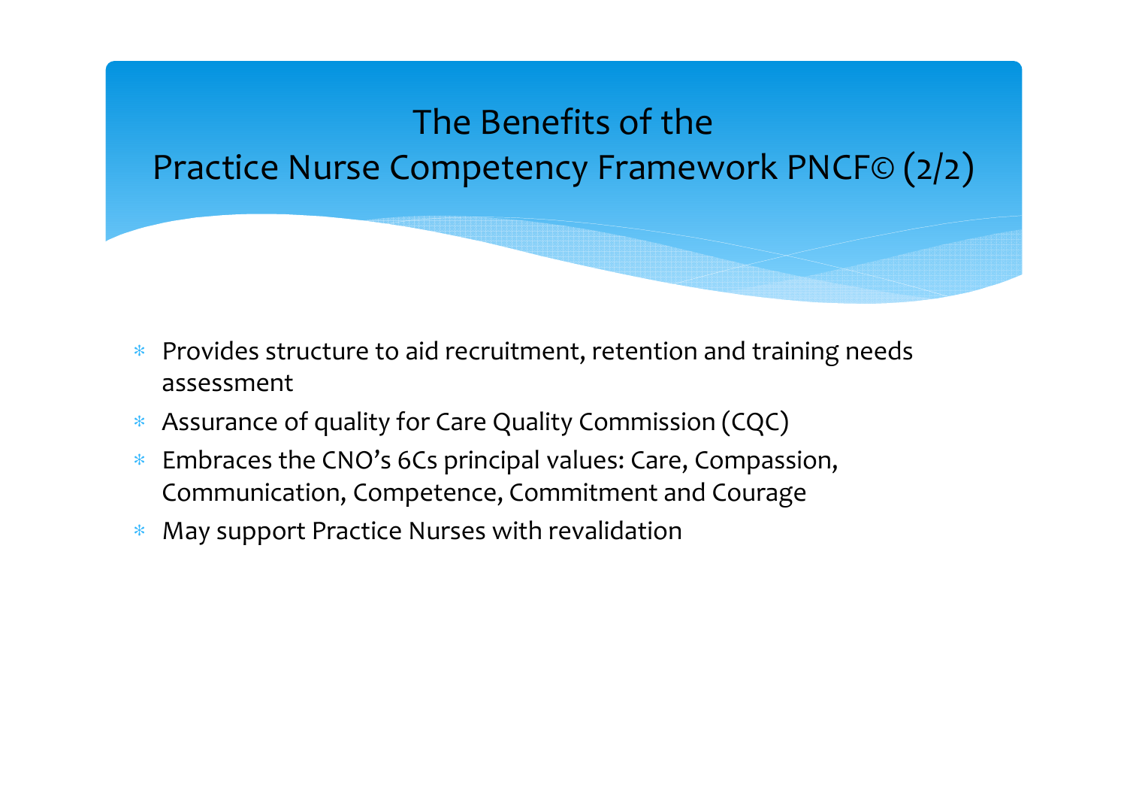#### The Benefits of the Practice Nurse Competency Framework PNCF© (2/2)

- ∗ Provides structure to aid recruitment, retention and training needs assessment
- ∗Assurance of quality for Care Quality Commission (CQC)
- ∗ Embraces the CNO's 6Cs principal values: Care, Compassion, Communication, Competence, Commitment and Courage
- ∗May support Practice Nurses with revalidation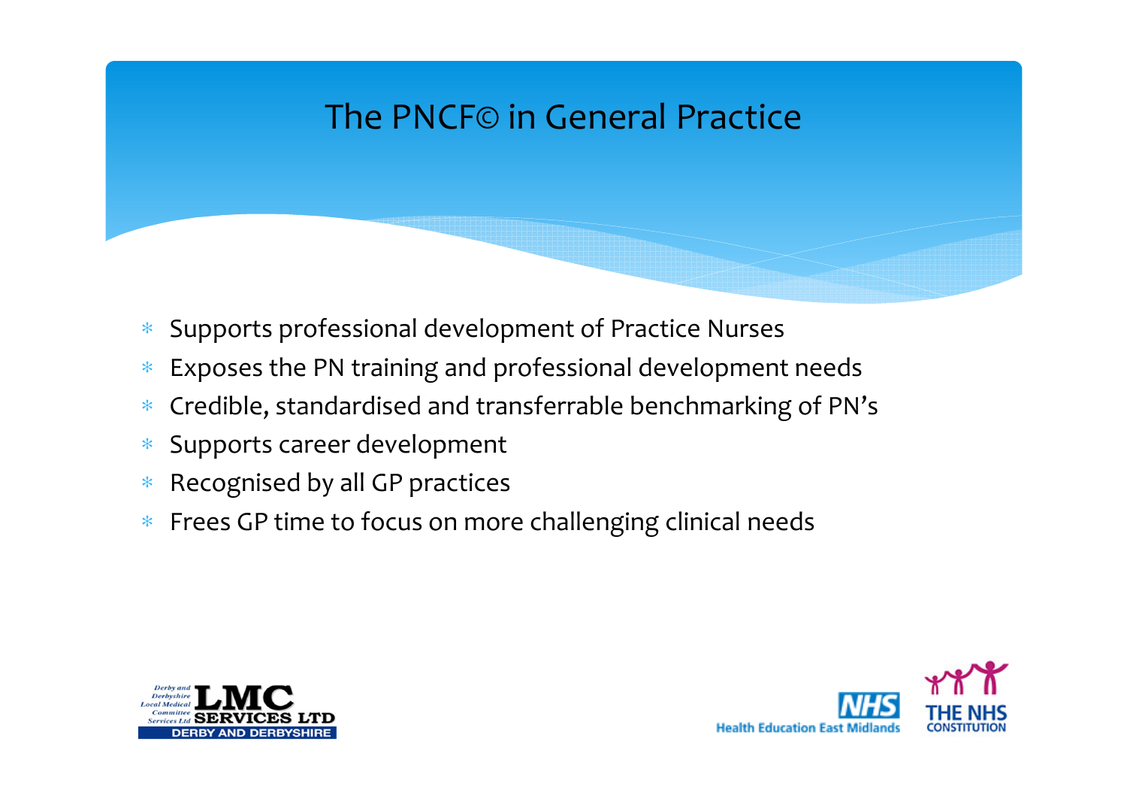#### The PNCF© in General Practice

- ∗Supports professional development of Practice Nurses
- ∗Exposes the PN training and professional development needs
- ∗Credible, standardised and transferrable benchmarking of PN's
- ∗Supports career development
- ∗Recognised by all GP practices
- ∗ Frees GP time to focus on more challenging clinical needs



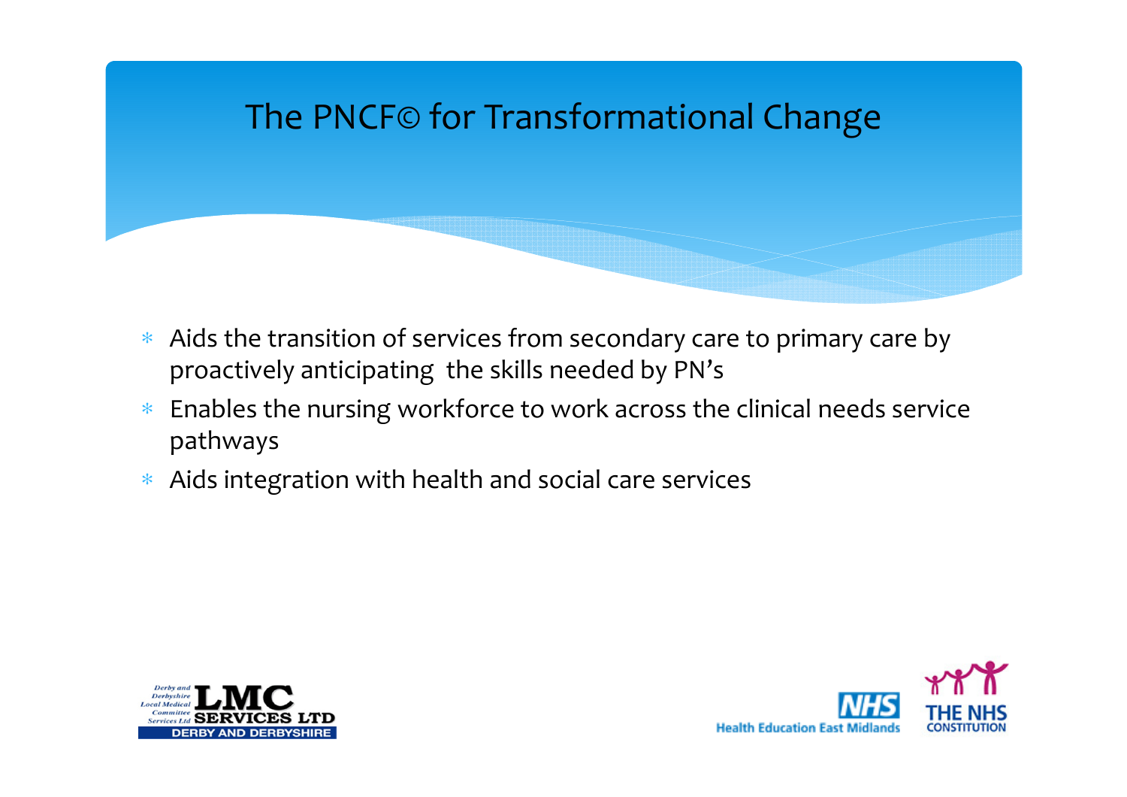#### The PNCF© for Transformational Change

- ∗ Aids the transition of services from secondary care to primary care by proactively anticipating the skills needed by PN's
- ∗ Enables the nursing workforce to work across the clinical needs service pathways
- ∗ Aids integration with health and social care services



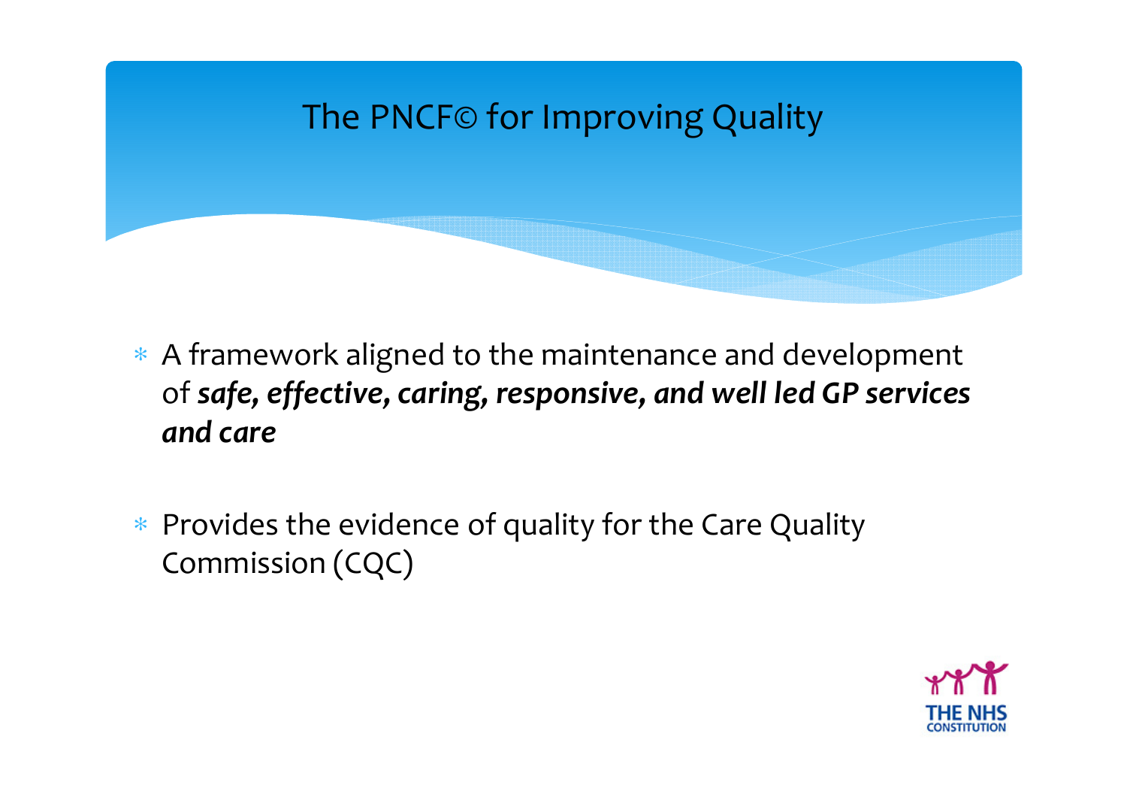

- ∗ A framework aligned to the maintenance and development of safe, effective, caring, responsive, and well led GP services and care
- ∗ Provides the evidence of quality for the Care Quality Commission (CQC)

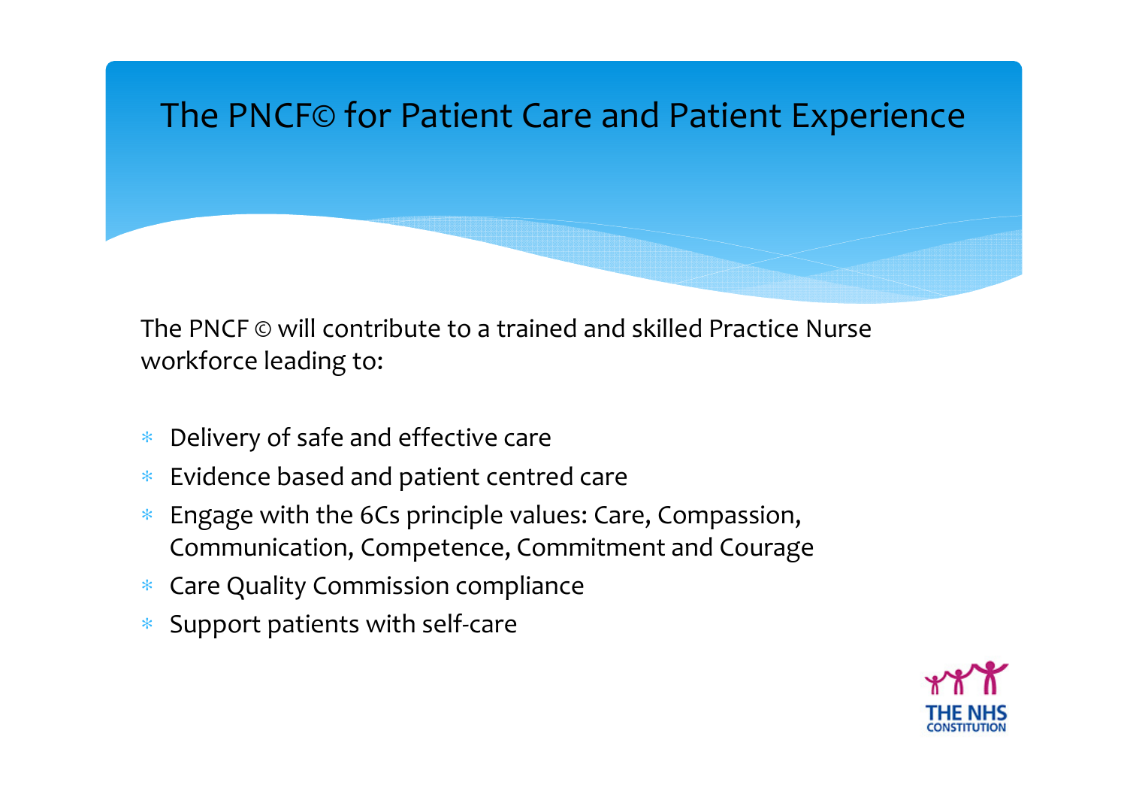

The PNCF © will contribute to a trained and skilled Practice Nurse workforce leading to:

- ∗Delivery of safe and effective care
- ∗Evidence based and patient centred care
- ∗ Engage with the 6Cs principle values: Care, Compassion, Communication, Competence, Commitment and Courage
- ∗ Care Quality Commission compliance
- ∗ Support patients with self-care

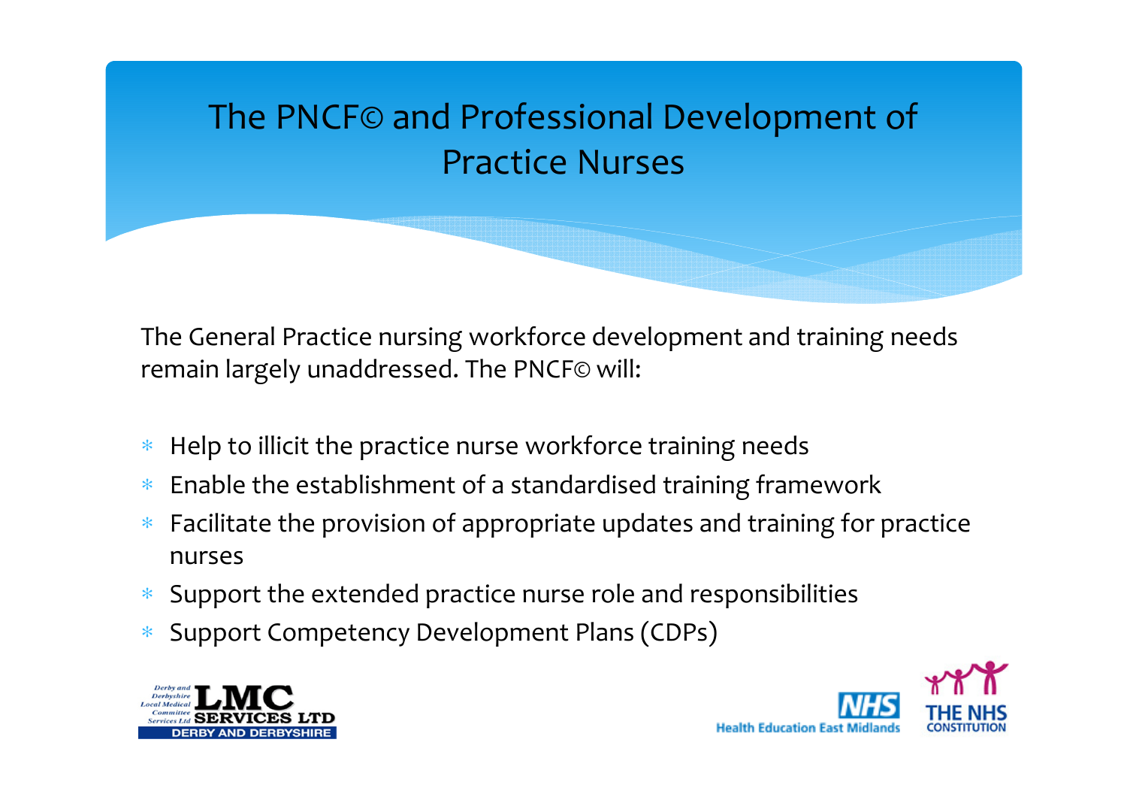# The PNCF© and Professional Development of Practice Nurses

The General Practice nursing workforce development and training needs remain largely unaddressed. The PNCF© will:

- ∗Help to illicit the practice nurse workforce training needs
- ∗Enable the establishment of a standardised training framework
- ∗ Facilitate the provision of appropriate updates and training for practice nurses
- ∗ Support the extended practice nurse role and responsibilities
- ∗Support Competency Development Plans (CDPs)



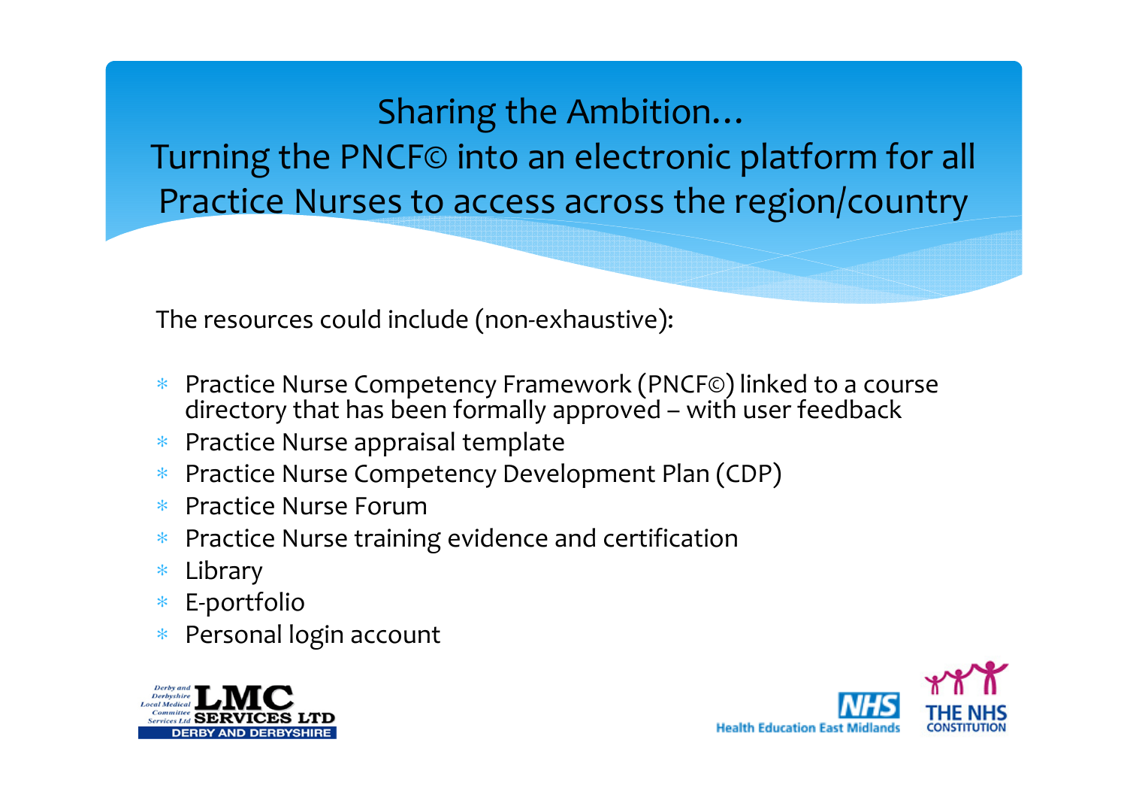#### Sharing the Ambition…

Turning the PNCF© into an electronic platform for all Practice Nurses to access across the region/country

The resources could include (non-exhaustive):

- ∗ Practice Nurse Competency Framework (PNCF©) linked to a course directory that has been formally approved – with user feedback
- ∗Practice Nurse appraisal template
- ∗Practice Nurse Competency Development Plan (CDP)
- ∗Practice Nurse Forum
- Practice Nurse training evidence and certification∗
- ∗Library
- ∗E-portfolio
- Personal login account∗



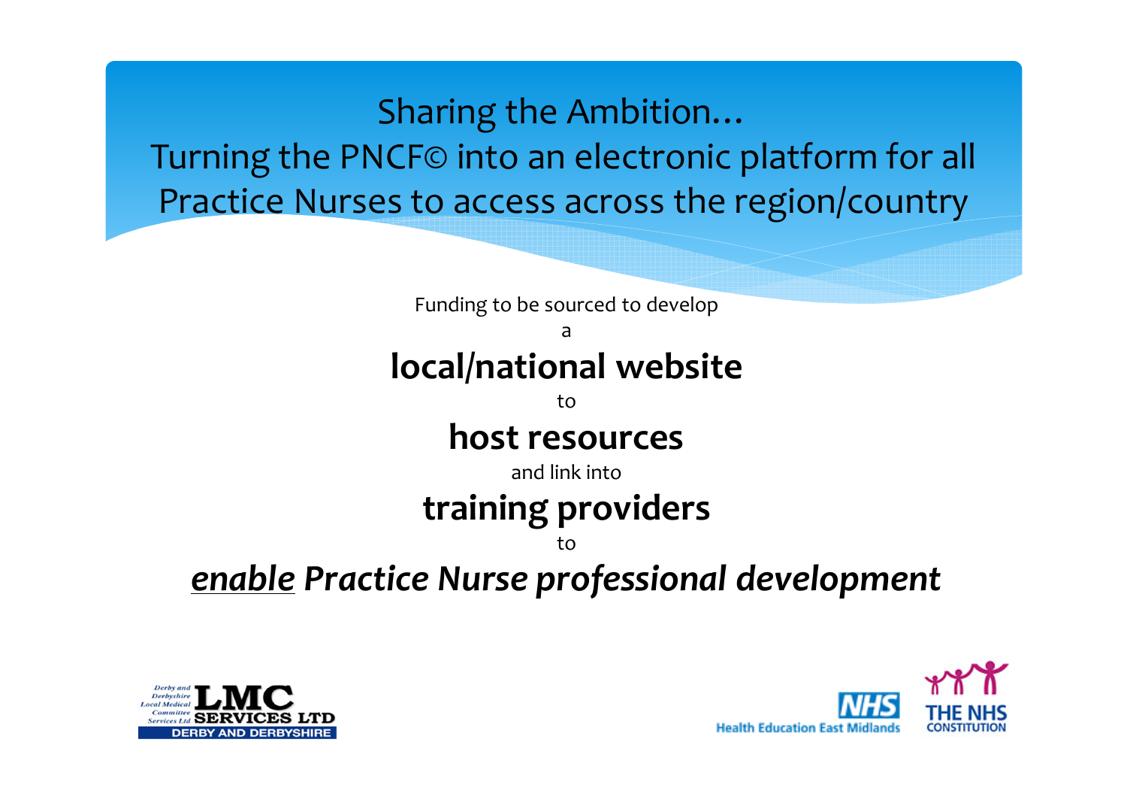Sharing the Ambition…Turning the PNCF© into an electronic platform for all Practice Nurses to access across the region/country

Funding to be sourced to develop a local/national website to host resources and link intotraining providersto

#### enable Practice Nurse professional development



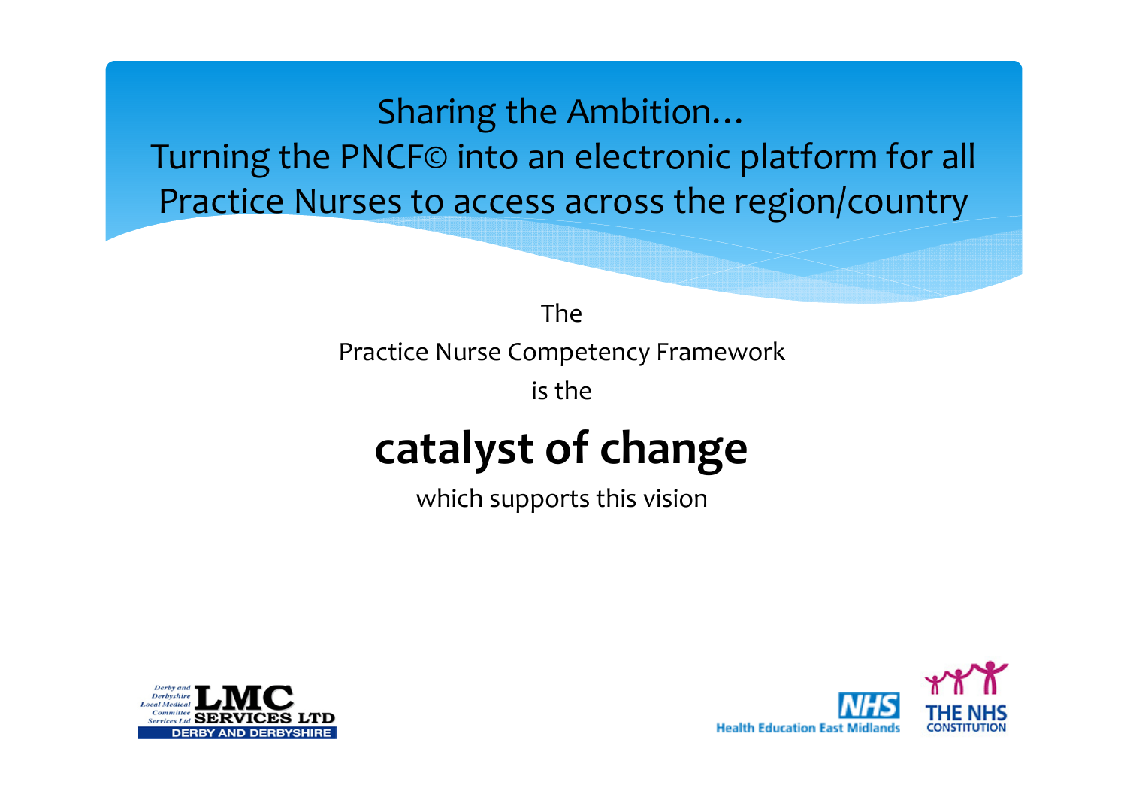Sharing the Ambition…

Turning the PNCF© into an electronic platform for all Practice Nurses to access across the region/country

> The Practice Nurse Competency Framework

is the

# catalyst of change

which supports this vision